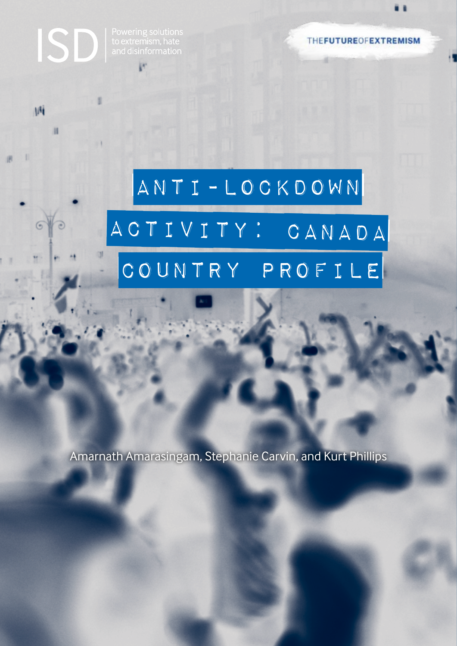Powering solutions<br>to extremism, hate<br>and disinformation

Mi

**M** 

**THEFUTUREOFEXTREMISM** 

# Anti-Lockdown ACTIVITY: CANADA COUNTRY PROFILE

Amarnath Amarasingam, Stephanie Carvin, and Kurt Phillips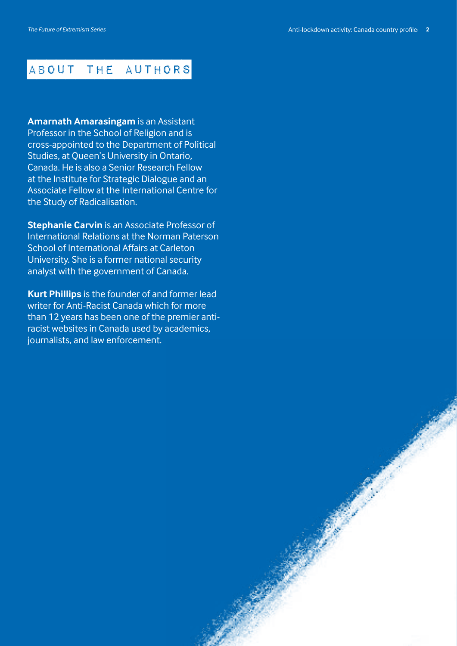#### About the authors

**Amarnath Amarasingam** is an Assistant Professor in the School of Religion and is cross-appointed to the Department of Political Studies, at Queen's University in Ontario, Canada. He is also a Senior Research Fellow at the Institute for Strategic Dialogue and an Associate Fellow at the International Centre for the Study of Radicalisation.

**Stephanie Carvin** is an Associate Professor of International Relations at the Norman Paterson School of International Affairs at Carleton University. She is a former national security analyst with the government of Canada.

**Kurt Phillips** is the founder of and former lead writer for Anti-Racist Canada which for more than 12 years has been one of the premier antiracist websites in Canada used by academics, journalists, and law enforcement.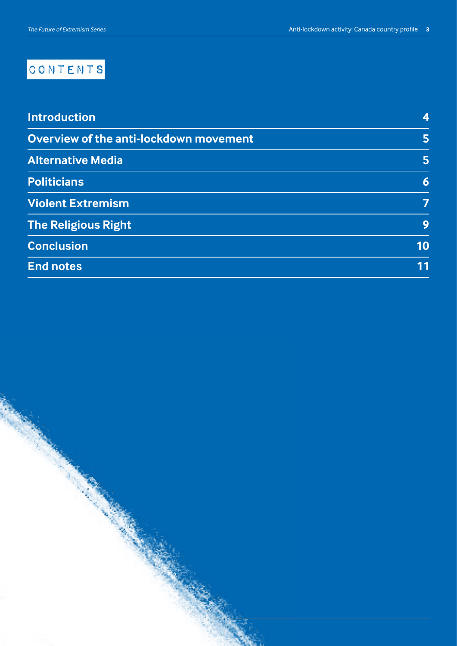## CONTENTS

| <b>Introduction</b>                    | 4  |
|----------------------------------------|----|
| Overview of the anti-lockdown movement | 5  |
| <b>Alternative Media</b>               | 5  |
| <b>Politicians</b>                     | 6  |
| <b>Violent Extremism</b>               | 7  |
| <b>The Religious Right</b>             | 9  |
| <b>Conclusion</b>                      | 10 |
| <b>End notes</b>                       | 11 |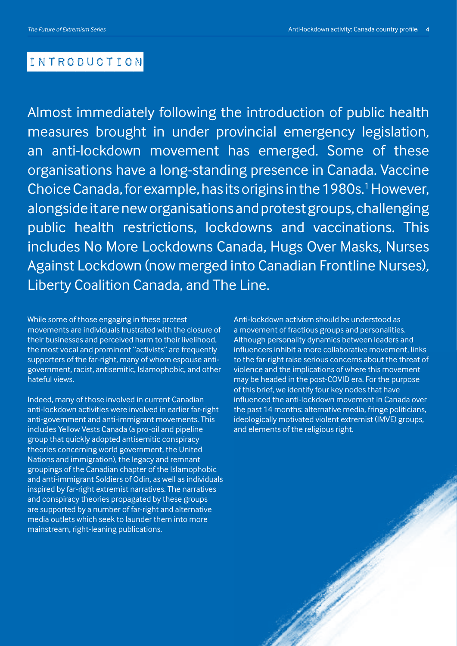#### Introduction

Almost immediately following the introduction of public health measures brought in under provincial emergency legislation, an anti-lockdown movement has emerged. Some of these organisations have a long-standing presence in Canada. Vaccine Choice Canada, for example, has its origins in the 1980s.<sup>1</sup> However, alongside it are new organisations and protest groups, challenging public health restrictions, lockdowns and vaccinations. This includes No More Lockdowns Canada, Hugs Over Masks, Nurses Against Lockdown (now merged into Canadian Frontline Nurses), Liberty Coalition Canada, and The Line.

While some of those engaging in these protest movements are individuals frustrated with the closure of their businesses and perceived harm to their livelihood, the most vocal and prominent "activists" are frequently supporters of the far-right, many of whom espouse antigovernment, racist, antisemitic, Islamophobic, and other hateful views.

Indeed, many of those involved in current Canadian anti-lockdown activities were involved in earlier far-right anti-government and anti-immigrant movements. This includes Yellow Vests Canada (a pro-oil and pipeline group that quickly adopted antisemitic conspiracy theories concerning world government, the United Nations and immigration), the legacy and remnant groupings of the Canadian chapter of the Islamophobic and anti-immigrant Soldiers of Odin, as well as individuals inspired by far-right extremist narratives. The narratives and conspiracy theories propagated by these groups are supported by a number of far-right and alternative media outlets which seek to launder them into more mainstream, right-leaning publications.

Anti-lockdown activism should be understood as a movement of fractious groups and personalities. Although personality dynamics between leaders and influencers inhibit a more collaborative movement, links to the far-right raise serious concerns about the threat of violence and the implications of where this movement may be headed in the post-COVID era. For the purpose of this brief, we identify four key nodes that have influenced the anti-lockdown movement in Canada over the past 14 months: alternative media, fringe politicians, ideologically motivated violent extremist (IMVE) groups, and elements of the religious right.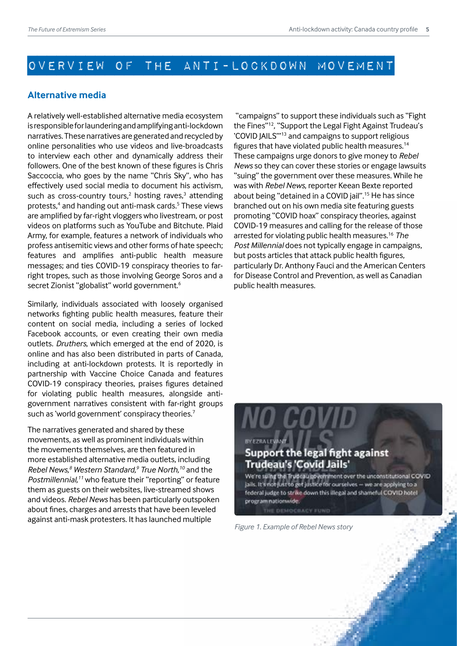### Overview of the anti-lockdown movement

#### **Alternative media**

A relatively well-established alternative media ecosystem is responsible for laundering and amplifying anti-lockdown narratives. These narratives are generated and recycled by online personalities who use videos and live-broadcasts to interview each other and dynamically address their followers. One of the best known of these figures is Chris Saccoccia, who goes by the name "Chris Sky", who has effectively used social media to document his activism, such as cross-country tours, $2$  hosting raves, $3$  attending protests,<sup>4</sup> and handing out anti-mask cards.<sup>5</sup> These views are amplified by far-right vloggers who livestream, or post videos on platforms such as YouTube and Bitchute. Plaid Army, for example, features a network of individuals who profess antisemitic views and other forms of hate speech; features and amplifies anti-public health measure messages; and ties COVID-19 conspiracy theories to farright tropes, such as those involving George Soros and a secret Zionist "globalist" world government.<sup>6</sup>

Similarly, individuals associated with loosely organised networks fighting public health measures, feature their content on social media, including a series of locked Facebook accounts, or even creating their own media outlets. *Druthers*, which emerged at the end of 2020, is online and has also been distributed in parts of Canada, including at anti-lockdown protests. It is reportedly in partnership with Vaccine Choice Canada and features COVID-19 conspiracy theories, praises figures detained for violating public health measures, alongside antigovernment narratives consistent with far-right groups such as 'world government' conspiracy theories.<sup>7</sup>

The narratives generated and shared by these movements, as well as prominent individuals within the movements themselves, are then featured in more established alternative media outlets, including *Rebel News,8 Western Standard,9 True North,10* and the *Postmillennial,11* who feature their "reporting" or feature them as guests on their websites, live-streamed shows and videos. *Rebel News* has been particularly outspoken about fines, charges and arrests that have been leveled against anti-mask protesters. It has launched multiple

 "campaigns" to support these individuals such as "Fight the Fines"12, "Support the Legal Fight Against Trudeau's 'COVID JAILS'"13 and campaigns to support religious figures that have violated public health measures.<sup>14</sup> These campaigns urge donors to give money to *Rebel News* so they can cover these stories or engage lawsuits "suing" the government over these measures. While he was with *Rebel News*, reporter Keean Bexte reported about being "detained in a COVID jail".15 He has since branched out on his own media site featuring guests promoting "COVID hoax" conspiracy theories, against COVID-19 measures and calling for the release of those arrested for violating public health measures.16 *The Post Millennial* does not typically engage in campaigns, but posts articles that attack public health figures, particularly Dr. Anthony Fauci and the American Centers for Disease Control and Prevention, as well as Canadian public health measures.

#### Support the legal fight against **Trudeau's 'Covid Jails'**

We're suing the Trudeau povernment over the unconstitutional COVID Jails. It's not just to get justice for ourselves - we are applying to a federal judge to strike down this illegal and shameful COVID hotel program nationwide.

*Figure 1. Example of Rebel News story*

THE DEMOCRACY FUND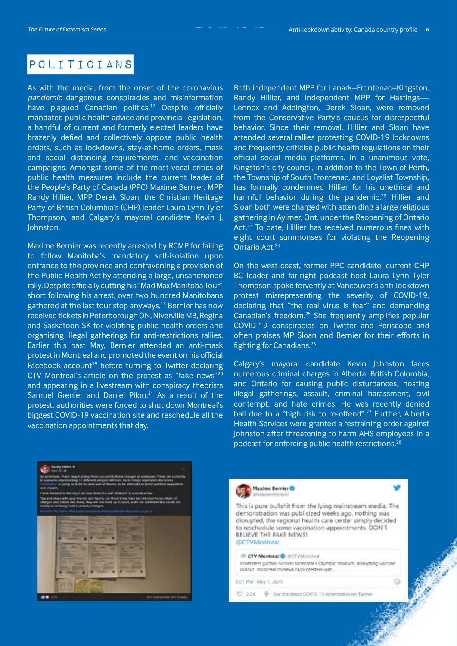#### Politicians

As with the media, from the onset of the coronavirus *pandemic* dangerous conspiracies and misinformation have plagued Canadian politics.<sup>17</sup> Despite officially mandated public health advice and provincial legislation, a handful of current and formerly elected leaders have brazenly defied and collectively oppose public health orders, such as lockdowns, stay-at-home orders, mask and social distancing requirements, and vaccination campaigns. Amongst some of the most vocal critics of public health measures include the current leader of the People's Party of Canada (PPC) Maxime Bernier, MPP Randy Hillier, MPP Derek Sloan, the Christian Heritage Party of British Columbia's (CHP) leader Laura Lynn Tyler Thompson, and Calgary's mayoral candidate Kevin J. Johnston.

Maxime Bernier was recently arrested by RCMP for failing to follow Manitoba's mandatory self-isolation upon entrance to the province and contravening a provision of the Public Health Act by attending a large, unsanctioned rally. Despite officially cutting his "Mad Max Manitoba Tour" short following his arrest, over two hundred Manitobans gathered at the last tour stop anyways.<sup>18</sup> Bernier has now received tickets in Peterborough ON, Niverville MB, Regina and Saskatoon SK for violating public health orders and organising illegal gatherings for anti-restrictions rallies. Earlier this past May, Bernier attended an anti-mask protest in Montreal and promoted the event on his official Facebook account<sup>19</sup> before turning to Twitter declaring CTV Montreal's article on the protest as "fake news"<sup>20</sup> and appearing in a livestream with conspiracy theorists Samuel Grenier and Daniel Pilon.<sup>21</sup> As a result of the protest, authorities were forced to shut down Montreal's biggest COVID-19 vaccination site and reschedule all the vaccination appointments that day.

Both independent MPP for Lanark–Frontenac–Kingston, Randy Hillier, and independent MPP for Hastings— Lennox and Addington, Derek Sloan, were removed from the Conservative Party's caucus for disrespectful behavior. Since their removal, Hillier and Sloan have attended several rallies protesting COVID-19 lockdowns and frequently criticise public health regulations on their official social media platforms. In a unanimous vote, Kingston's city council, in addition to the Town of Perth, the Township of South Frontenac, and Loyalist Township, has formally condemned Hillier for his unethical and harmful behavior during the pandemic.<sup>22</sup> Hillier and Sloan both were charged with atten ding a large religious gathering in Aylmer, Ont. under the Reopening of Ontario Act.<sup>23</sup> To date, Hillier has received numerous fines with eight court summonses for violating the Reopening Ontario Act.24

On the west coast, former PPC candidate, current CHP BC leader and far-right podcast host Laura Lynn Tyler Thompson spoke fervently at Vancouver's anti-lockdown protest misrepresenting the severity of COVID-19, declaring that "the real virus is fear" and demanding Canadian's freedom.25 She frequently amplifies popular COVID-19 conspiracies on Twitter and Periscope and often praises MP Sloan and Bernier for their efforts in fighting for Canadians.26

Calgary's mayoral candidate Kevin Johnston faces numerous criminal charges in Alberta, British Columbia, and Ontario for causing public disturbances, hosting illegal gatherings, assault, criminal harassment, civil contempt, and hate crimes. He was recently denied bail due to a "high risk to re-offend".<sup>27</sup> Further, Alberta Health Services were granted a restraining order against Johnston after threatening to harm AHS employees in a podcast for enforcing public health restrictions.<sup>28</sup>



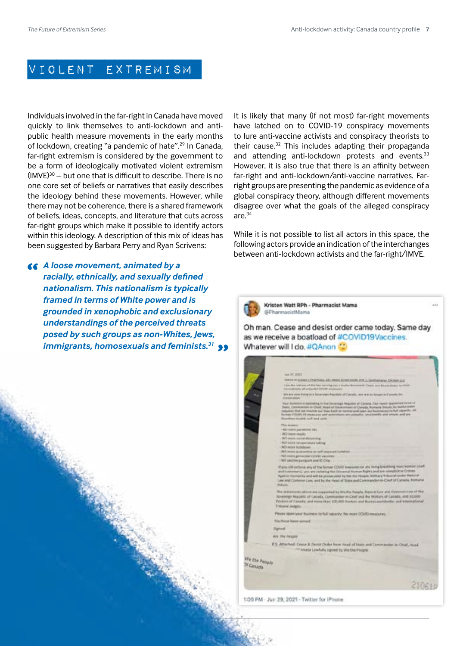#### Violent Extremism

Individuals involved in the far-right in Canada have moved quickly to link themselves to anti-lockdown and antipublic health measure movements in the early months of lockdown, creating "a pandemic of hate".<sup>29</sup> In Canada, far-right extremism is considered by the government to be a form of ideologically motivated violent extremism  $(IMVE)^{30}$  – but one that is difficult to describe. There is no one core set of beliefs or narratives that easily describes the ideology behind these movements. However, while there may not be coherence, there is a shared framework of beliefs, ideas, concepts, and literature that cuts across far-right groups which make it possible to identify actors within this ideology. A description of this mix of ideas has been suggested by Barbara Perry and Ryan Scrivens:

*A loose movement, animated by a racially, ethnically, and sexually defined nationalism. This nationalism is typically framed in terms of White power and is grounded in xenophobic and exclusionary understandings of the perceived threats posed by such groups as non-Whites, Jews, immigrants, homosexuals and feminists.31*



It is likely that many (if not most) far-right movements have latched on to COVID-19 conspiracy movements to lure anti-vaccine activists and conspiracy theorists to their cause.32 This includes adapting their propaganda and attending anti-lockdown protests and events.<sup>33</sup> However, it is also true that there is an affinity between far-right and anti-lockdown/anti-vaccine narratives. Farright groups are presenting the pandemic as evidence of a global conspiracy theory, although different movements disagree over what the goals of the alleged conspiracy are.<sup>34</sup>

While it is not possible to list all actors in this space, the following actors provide an indication of the interchanges between anti-lockdown activists and the far-right/IMVE.



|                            | int 17, 2021                                                                                                                                                                                                                                                                                                                                                                                                                                |  |
|----------------------------|---------------------------------------------------------------------------------------------------------------------------------------------------------------------------------------------------------------------------------------------------------------------------------------------------------------------------------------------------------------------------------------------------------------------------------------------|--|
|                            | WHITE IN SUSSIBLE PERCYCLE AND ASSOCIATED FOR ACTUAL ASSOCIATED AND RESIDENTS                                                                                                                                                                                                                                                                                                                                                               |  |
|                            | 1-bre she lettered of the first central year a lougher discovered. Costa and basic links to office<br>Incredictedy of scripped LEMB despressor.                                                                                                                                                                                                                                                                                             |  |
|                            | We are your Fring in a bone-ways Republic of Canada, and are on longer on Canada Inc.<br><b>Classical settles</b>                                                                                                                                                                                                                                                                                                                           |  |
|                            | Four Summers in operating in the bove ergs Regulate of Cariana. Our newly opassment riche of<br>State), Commercials on Church Head of Government of Cameda, Romana Statulo, Sq Deethel Onder<br>requires that be returned our bias back to transport and contract during the function of the Ad 1999/RY. All<br>Renest Client's 24 measures with removing are celled to contentific and intrast, and are<br>Mundary invalid, null and unit. |  |
|                            | This motored in the                                                                                                                                                                                                                                                                                                                                                                                                                         |  |
|                            | - NO insire paintennic incl.                                                                                                                                                                                                                                                                                                                                                                                                                |  |
|                            | - NO mare masks                                                                                                                                                                                                                                                                                                                                                                                                                             |  |
|                            | - RC more containing                                                                                                                                                                                                                                                                                                                                                                                                                        |  |
|                            | -T43 more benganakura tuking                                                                                                                                                                                                                                                                                                                                                                                                                |  |
|                            | -NO more lockinger<br>: Nill more quaranting or sell imposed turblom                                                                                                                                                                                                                                                                                                                                                                        |  |
|                            | - NO more generalist control racines.                                                                                                                                                                                                                                                                                                                                                                                                       |  |
|                            | - NO verzine parquire and C Chia                                                                                                                                                                                                                                                                                                                                                                                                            |  |
|                            | If you little reforce any of the furner COVO measures on you being breathing man/women. Well<br>and nummers), you are varieting the Universal Number Nights and are introduct in Otmes-<br>Apartus Parmanny and will be protecuted by you the Yespie. Addition's Toburiel under Network<br>Law and Contense Low, and by the resal of State and Convergedor in Chief of Canada, Korkana<br><b>Bidule</b>                                     |  |
|                            | The statements above are copyright by We the People, Natural Law and Contributions of the<br>Sovereign Republic of Canada, Commander in Chief and the Mottany of Catada, and 03,000 -<br>Doctors of Canada, and more than 100,000 Doctors and Butters accelerible; and Minemational<br>Tribunal Jedgres                                                                                                                                     |  |
|                            | PRINK GERRYOUT Business for full causacity. All more COVE measures.                                                                                                                                                                                                                                                                                                                                                                         |  |
|                            | Titas Ruture Rutest dairroad.                                                                                                                                                                                                                                                                                                                                                                                                               |  |
|                            | Sigmack                                                                                                                                                                                                                                                                                                                                                                                                                                     |  |
|                            | We The Pengia                                                                                                                                                                                                                                                                                                                                                                                                                               |  |
|                            | P.S. Attached: Cewie & Denist Order from Head of State and Commander in Oriel, Head<br>Fit Amada Lawfulfy signed by Will the Porque                                                                                                                                                                                                                                                                                                         |  |
| the People<br><b>Anada</b> |                                                                                                                                                                                                                                                                                                                                                                                                                                             |  |
|                            |                                                                                                                                                                                                                                                                                                                                                                                                                                             |  |
|                            |                                                                                                                                                                                                                                                                                                                                                                                                                                             |  |
|                            |                                                                                                                                                                                                                                                                                                                                                                                                                                             |  |

1:06 PM - Jun 29, 2021 - Twitter for iPhone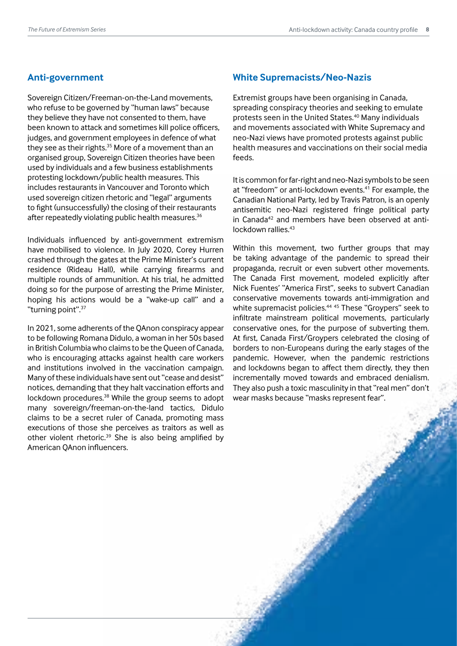#### **Anti-government**

Sovereign Citizen/Freeman-on-the-Land movements, who refuse to be governed by "human laws" because they believe they have not consented to them, have been known to attack and sometimes kill police officers, judges, and government employees in defence of what they see as their rights. $35$  More of a movement than an organised group, Sovereign Citizen theories have been used by individuals and a few business establishments protesting lockdown/public health measures. This includes restaurants in Vancouver and Toronto which used sovereign citizen rhetoric and "legal" arguments to fight (unsuccessfully) the closing of their restaurants after repeatedly violating public health measures.<sup>36</sup>

Individuals influenced by anti-government extremism have mobilised to violence. In July 2020, Corey Hurren crashed through the gates at the Prime Minister's current residence (Rideau Hall), while carrying firearms and multiple rounds of ammunition. At his trial, he admitted doing so for the purpose of arresting the Prime Minister, hoping his actions would be a "wake-up call" and a "turning point".37

In 2021, some adherents of the QAnon conspiracy appear to be following Romana Didulo, a woman in her 50s based in British Columbia who claims to be the Queen of Canada, who is encouraging attacks against health care workers and institutions involved in the vaccination campaign. Many of these individuals have sent out "cease and desist" notices, demanding that they halt vaccination efforts and lockdown procedures.<sup>38</sup> While the group seems to adopt many sovereign/freeman-on-the-land tactics, Didulo claims to be a secret ruler of Canada, promoting mass executions of those she perceives as traitors as well as other violent rhetoric.<sup>39</sup> She is also being amplified by American QAnon influencers.

#### **White Supremacists/Neo-Nazis**

Extremist groups have been organising in Canada, spreading conspiracy theories and seeking to emulate protests seen in the United States.40 Many individuals and movements associated with White Supremacy and neo-Nazi views have promoted protests against public health measures and vaccinations on their social media feeds.

It is common for far-right and neo-Nazi symbols to be seen at "freedom" or anti-lockdown events.<sup>41</sup> For example, the Canadian National Party, led by Travis Patron, is an openly antisemitic neo-Nazi registered fringe political party in Canada<sup>42</sup> and members have been observed at antilockdown rallies.43

Within this movement, two further groups that may be taking advantage of the pandemic to spread their propaganda, recruit or even subvert other movements. The Canada First movement, modeled explicitly after Nick Fuentes' "America First", seeks to subvert Canadian conservative movements towards anti-immigration and white supremacist policies.<sup>44 45</sup> These "Grovpers" seek to infiltrate mainstream political movements, particularly conservative ones, for the purpose of subverting them. At first, Canada First/Groypers celebrated the closing of borders to non-Europeans during the early stages of the pandemic. However, when the pandemic restrictions and lockdowns began to affect them directly, they then incrementally moved towards and embraced denialism. They also push a toxic masculinity in that "real men" don't wear masks because "masks represent fear".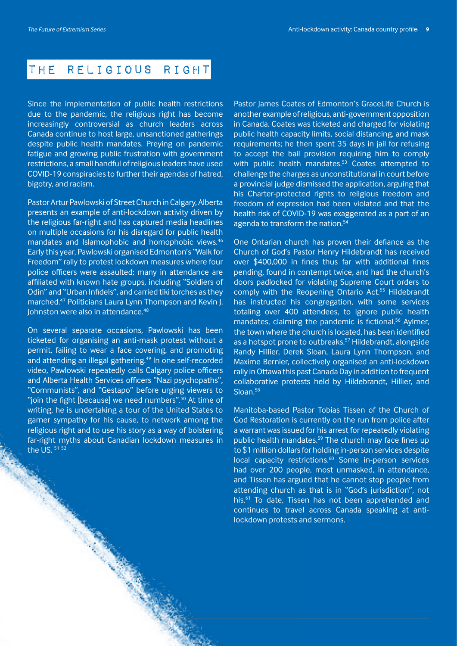#### The Religious Right

Since the implementation of public health restrictions due to the pandemic, the religious right has become increasingly controversial as church leaders across Canada continue to host large, unsanctioned gatherings despite public health mandates. Preying on pandemic fatigue and growing public frustration with government restrictions, a small handful of religious leaders have used COVID-19 conspiracies to further their agendas of hatred, bigotry, and racism.

Pastor Artur Pawlowski of Street Church in Calgary, Alberta presents an example of anti-lockdown activity driven by the religious far-right and has captured media headlines on multiple occasions for his disregard for public health mandates and Islamophobic and homophobic views.46 Early this year, Pawlowski organised Edmonton's "Walk for Freedom" rally to protest lockdown measures where four police officers were assaulted; many in attendance are affiliated with known hate groups, including "Soldiers of Odin" and "Urban Infidels", and carried tiki torches as they marched.47 Politicians Laura Lynn Thompson and Kevin J. Johnston were also in attendance.<sup>48</sup>

On several separate occasions, Pawlowski has been ticketed for organising an anti-mask protest without a permit, failing to wear a face covering, and promoting and attending an illegal gathering.<sup>49</sup> In one self-recorded video, Pawlowski repeatedly calls Calgary police officers and Alberta Health Services officers "Nazi psychopaths", "Communists", and "Gestapo" before urging viewers to "join the fight [because] we need numbers".<sup>50</sup> At time of writing, he is undertaking a tour of the United States to garner sympathy for his cause, to network among the religious right and to use his story as a way of bolstering far-right myths about Canadian lockdown measures in the US. 51 52

Pastor James Coates of Edmonton's GraceLife Church is another example of religious, anti-government opposition in Canada. Coates was ticketed and charged for violating public health capacity limits, social distancing, and mask requirements; he then spent 35 days in jail for refusing to accept the bail provision requiring him to comply with public health mandates.<sup>53</sup> Coates attempted to challenge the charges as unconstitutional in court before a provincial judge dismissed the application, arguing that his Charter-protected rights to religious freedom and freedom of expression had been violated and that the health risk of COVID-19 was exaggerated as a part of an agenda to transform the nation.<sup>54</sup>

One Ontarian church has proven their defiance as the Church of God's Pastor Henry Hildebrandt has received over \$400,000 in fines thus far with additional fines pending, found in contempt twice, and had the church's doors padlocked for violating Supreme Court orders to comply with the Reopening Ontario Act.55 Hildebrandt has instructed his congregation, with some services totaling over 400 attendees, to ignore public health mandates, claiming the pandemic is fictional.<sup>56</sup> Aylmer, the town where the church is located, has been identified as a hotspot prone to outbreaks.<sup>57</sup> Hildebrandt, alongside Randy Hillier, Derek Sloan, Laura Lynn Thompson, and Maxime Bernier, collectively organised an anti-lockdown rally in Ottawa this past Canada Day in addition to frequent collaborative protests held by Hildebrandt, Hillier, and Sloan.<sup>58</sup>

Manitoba-based Pastor Tobias Tissen of the Church of God Restoration is currently on the run from police after a warrant was issued for his arrest for repeatedly violating public health mandates.<sup>59</sup> The church may face fines up to \$1 million dollars for holding in-person services despite local capacity restrictions.<sup>60</sup> Some in-person services had over 200 people, most unmasked, in attendance, and Tissen has argued that he cannot stop people from attending church as that is in "God's jurisdiction", not his.<sup>61</sup> To date, Tissen has not been apprehended and continues to travel across Canada speaking at antilockdown protests and sermons.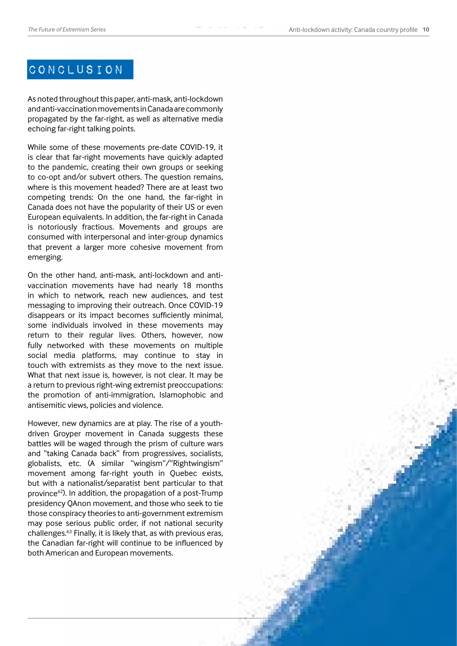#### CONCLUSION

As noted throughout this paper, anti-mask, anti-lockdown and anti-vaccination movements in Canada are commonly propagated by the far-right, as well as alternative media echoing far-right talking points.

While some of these movements pre-date COVID-19, it is clear that far-right movements have quickly adapted to the pandemic, creating their own groups or seeking to co-opt and/or subvert others. The question remains, where is this movement headed? There are at least two competing trends: On the one hand, the far-right in Canada does not have the popularity of their US or even European equivalents. In addition, the far-right in Canada is notoriously fractious. Movements and groups are consumed with interpersonal and inter-group dynamics that prevent a larger more cohesive movement from emerging.

On the other hand, anti-mask, anti-lockdown and antivaccination movements have had nearly 18 months in which to network, reach new audiences, and test messaging to improving their outreach. Once COVID-19 disappears or its impact becomes sufficiently minimal, some individuals involved in these movements may return to their regular lives. Others, however, now fully networked with these movements on multiple social media platforms, may continue to stay in touch with extremists as they move to the next issue. What that next issue is, however, is not clear. It may be a return to previous right-wing extremist preoccupations: the promotion of anti-immigration, Islamophobic and antisemitic views, policies and violence.

However, new dynamics are at play. The rise of a youthdriven Groyper movement in Canada suggests these battles will be waged through the prism of culture wars and "taking Canada back" from progressives, socialists, globalists, etc. (A similar "wingism"/"Rightwingism" movement among far-right youth in Quebec exists, but with a nationalist/separatist bent particular to that province<sup>62</sup>). In addition, the propagation of a post-Trump presidency QAnon movement, and those who seek to tie those conspiracy theories to anti-government extremism may pose serious public order, if not national security challenges.63 Finally, it is likely that, as with previous eras, the Canadian far-right will continue to be influenced by both American and European movements.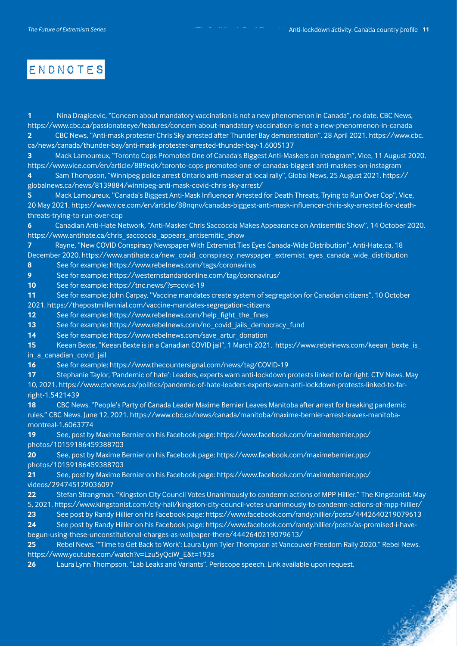#### Endnotes

**1** Nina Dragicevic, "Concern about mandatory vaccination is not a new phenomenon in Canada", no date. CBC News, <https://www.cbc.ca/passionateeye/features/concern-about-mandatory-vaccination-is-not-a-new-phenomenon-in-canada> **2** CBC News, "Anti-mask protester Chris Sky arrested after Thunder Bay demonstration", 28 April 2021. [https://www.cbc.](https://www.cbc.ca/news/canada/thunder-bay/anti-mask-protester-arrested-thunder-bay-1.6005137) [ca/news/canada/thunder-bay/anti-mask-protester-arrested-thunder-bay-1.6005137](https://www.cbc.ca/news/canada/thunder-bay/anti-mask-protester-arrested-thunder-bay-1.6005137)

**3** Mack Lamoureux, "Toronto Cops Promoted One of Canada's Biggest Anti-Maskers on Instagram", Vice, 11 August 2020. <https://www.vice.com/en/article/889eqk/toronto-cops-promoted-one-of-canadas-biggest-anti-maskers-on-instagram> **4** Sam Thompson, "Winnipeg police arrest Ontario anti-masker at local rally", Global News, 25 August 2021. https://

globalnews.ca/news/8139884/winnipeg-anti-mask-covid-chris-sky-arrest/

**5** Mack Lamoureux, "Canada's Biggest Anti-Mask Influencer Arrested for Death Threats, Trying to Run Over Cop", Vice, 20 May 2021. [https://www.vice.com/en/article/88nqnv/canadas-biggest-anti-mask-influencer-chris-sky-arrested-for-death](https://www.vice.com/en/article/88nqnv/canadas-biggest-anti-mask-influencer-chris-sky-arrested-for-death-threats-trying-to-run-over-cop)[threats-trying-to-run-over-cop](https://www.vice.com/en/article/88nqnv/canadas-biggest-anti-mask-influencer-chris-sky-arrested-for-death-threats-trying-to-run-over-cop)

**6** Canadian Anti-Hate Network, "Anti-Masker Chris Saccoccia Makes Appearance on Antisemitic Show", 14 October 2020. [https://www.antihate.ca/chris\\_saccoccia\\_appears\\_antisemitic\\_show](https://www.antihate.ca/chris_saccoccia_appears_antisemitic_show)

**7** Rayne, "New COVID Conspiracy Newspaper With Extremist Ties Eyes Canada-Wide Distribution", Anti-Hate.ca, 18 December 2020. [https://www.antihate.ca/new\\_covid\\_conspiracy\\_newspaper\\_extremist\\_eyes\\_canada\\_wide\\_distribution](https://www.antihate.ca/new_covid_conspiracy_newspaper_extremist_eyes_canada_wide_distribution) **8** See for example:<https://www.rebelnews.com/tags/coronavirus>

**9** See for example:<https://westernstandardonline.com/tag/coronavirus/>

**10** See for example:<https://tnc.news/?s=covid-19>

**11** See for example: John Carpay, "Vaccine mandates create system of segregation for Canadian citizens", 10 October 2021. <https://thepostmillennial.com/vaccine-mandates-segregation-citizens>

12 See for example: https://www.rebelnews.com/help\_fight\_the\_fines

**13** See for example: [https://www.rebelnews.com/no\\_covid\\_jails\\_democracy\\_fund](https://www.rebelnews.com/no_covid_jails_democracy_fund) 

**14** See for example: https://www.rebelnews.com/save\_artur\_donation

**15** Keean Bexte, "Keean Bexte is in a Canadian COVID jail", 1 March 2021. [https://www.rebelnews.com/keean\\_bexte\\_is\\_](https://www.rebelnews.com/keean_bexte_is_in_a_canadian_covid_jail) [in\\_a\\_canadian\\_covid\\_jail](https://www.rebelnews.com/keean_bexte_is_in_a_canadian_covid_jail) 

**16** See for example:<https://www.thecountersignal.com/news/tag/COVID-19>

**17** Stephanie Taylor, 'Pandemic of hate': Leaders, experts warn anti-lockdown protests linked to far right. CTV News. May 10, 2021. https://www.ctvnews.ca/politics/pandemic-of-hate-leaders-experts-warn-anti-lockdown-protests-linked-to-farright-1.5421439

**18** CBC News. "People's Party of Canada Leader Maxime Bernier Leaves Manitoba after arrest for breaking pandemic rules." CBC News. June 12, 2021. https://www.cbc.ca/news/canada/manitoba/maxime-bernier-arrest-leaves-manitobamontreal-1.6063774

**19** See, post by Maxime Bernier on his Facebook page: https://www.facebook.com/maximebernier.ppc/ photos/10159186459388703

**20** See, post by Maxime Bernier on his Facebook page: https://www.facebook.com/maximebernier.ppc/ photos/10159186459388703

**21** See, post by Maxime Bernier on his Facebook page: https://www.facebook.com/maximebernier.ppc/ videos/294745129036097

**22** Stefan Strangman. "Kingston City Council Votes Unanimously to condemn actions of MPP Hillier." The Kingstonist. May 5, 2021. https://www.kingstonist.com/city-hall/kingston-city-council-votes-unanimously-to-condemn-actions-of-mpp-hillier/

**23** See post by Randy Hillier on his Facebook page: https://www.facebook.com/randy.hillier/posts/4442640219079613

**24** See post by Randy Hillier on his Facebook page: https://www.facebook.com/randy.hillier/posts/as-promised-i-havebegun-using-these-unconstitutional-charges-as-wallpaper-there/4442640219079613/

**25** Rebel News. "'Time to Get Back to Work': Laura Lynn Tyler Thompson at Vancouver Freedom Rally 2020." Rebel News. https://www.youtube.com/watch?v=Lzu5yQciW\_E&t=193s

**26** Laura Lynn Thompson. "Lab Leaks and Variants". Periscope speech. Link available upon request.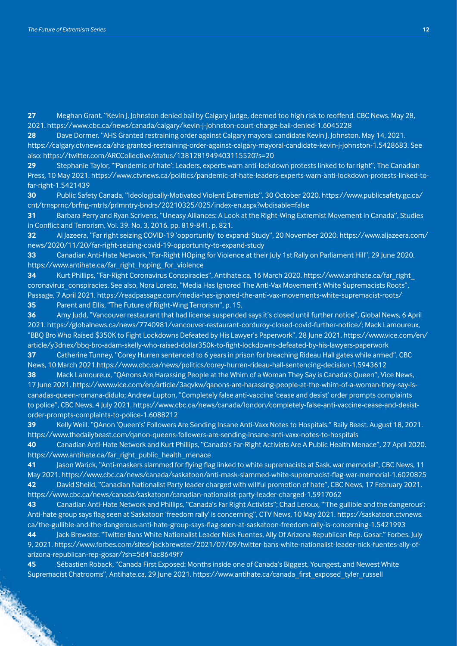**27** Meghan Grant. "Kevin J. Johnston denied bail by Calgary judge, deemed too high risk to reoffend. CBC News. May 28, 2021. https://www.cbc.ca/news/canada/calgary/kevin-j-johnston-court-charge-bail-denied-1.6045228

**28** Dave Dormer. "AHS Granted restraining order against Calgary mayoral candidate Kevin J. Johnston. May 14, 2021. [https://calgary.ctvnews.ca/ahs-granted-restraining-order-against-calgary-mayoral-candidate-kevin-j-johnston-1.5428683.](https://calgary.ctvnews.ca/ahs-granted-restraining-order-against-calgary-mayoral-candidate-kevin-j-johnston-1.5428683) See also:<https://twitter.com/ARCCollective/status/1381281949403115520?s=20>

**29** Stephanie Taylor, "'Pandemic of hate': Leaders, experts warn anti-lockdown protests linked to far right", The Canadian Press, 10 May 2021. [https://www.ctvnews.ca/politics/pandemic-of-hate-leaders-experts-warn-anti-lockdown-protests-linked-to](https://www.ctvnews.ca/politics/pandemic-of-hate-leaders-experts-warn-anti-lockdown-protests-linked-to-far-right-1.5421439)[far-right-1.5421439](https://www.ctvnews.ca/politics/pandemic-of-hate-leaders-experts-warn-anti-lockdown-protests-linked-to-far-right-1.5421439)

**30** Public Safety Canada, "Ideologically-Motivated Violent Extremists", 30 October 2020. https://www.publicsafety.gc.ca/ cnt/trnsprnc/brfng-mtrls/prlmntry-bndrs/20210325/025/index-en.aspx?wbdisable=false

**31** Barbara Perry and Ryan Scrivens, "Uneasy Alliances: A Look at the Right-Wing Extremist Movement in Canada", Studies in Conflict and Terrorism, Vol. 39. No. 3, 2016. pp. 819-841. p. 821.

**32** Al Jazeera, "Far right seizing COVID-19 'opportunity' to expand: Study", 20 November 2020. [https://www.aljazeera.com/](https://www.aljazeera.com/news/2020/11/20/far-right-seizing-covid-19-opportunity-to-expand-study) [news/2020/11/20/far-right-seizing-covid-19-opportunity-to-expand-study](https://www.aljazeera.com/news/2020/11/20/far-right-seizing-covid-19-opportunity-to-expand-study) 

**33** Canadian Anti-Hate Network, "Far-Right HOping for Violence at their July 1st Rally on Parliament Hill", 29 June 2020. [https://www.antihate.ca/far\\_right\\_hoping\\_for\\_violence](https://www.antihate.ca/far_right_hoping_for_violence)

**34** Kurt Phillips, "Far-Right Coronavirus Conspiracies", Antihate.ca, 16 March 2020. [https://www.antihate.ca/far\\_right\\_](https://www.antihate.ca/far_right_coronavirus_conspiracies) coronavirus conspiracies. See also, Nora Loreto, "Media Has Ignored The Anti-Vax Movement's White Supremacists Roots", Passage, 7 April 2021. <https://readpassage.com/media-has-ignored-the-anti-vax-movements-white-supremacist-roots/> **35** Parent and Ellis, "The Future of Right-Wing Terrorism", p. 15.

**36** Amy Judd, "Vancouver restaurant that had license suspended says it's closed until further notice", Global News, 6 April 2021. <https://globalnews.ca/news/7740981/vancouver-restaurant-corduroy-closed-covid-further-notice/>; Mack Lamoureux, "BBQ Bro Who Raised \$350K to Fight Lockdowns Defeated by His Lawyer's Paperwork", 28 June 2021. [https://www.vice.com/en/](https://www.vice.com/en/article/y3dnex/bbq-bro-adam-skelly-who-raised-dollar350k-to-fight-lockdowns-defeated-by-his-lawyers-paperwork) [article/y3dnex/bbq-bro-adam-skelly-who-raised-dollar350k-to-fight-lockdowns-defeated-by-his-lawyers-paperwork](https://www.vice.com/en/article/y3dnex/bbq-bro-adam-skelly-who-raised-dollar350k-to-fight-lockdowns-defeated-by-his-lawyers-paperwork)

**37** Catherine Tunney, "Corey Hurren sentenced to 6 years in prison for breaching Rideau Hall gates while armed", CBC News, 10 March 2021[.https://www.cbc.ca/news/politics/corey-hurren-rideau-hall-sentencing-decision-1.5943612](https://www.cbc.ca/news/politics/corey-hurren-rideau-hall-sentencing-decision-1.5943612) 

**38** Mack Lamoureux, "QAnons Are Harassing People at the Whim of a Woman They Say is Canada's Queen", Vice News, 17 June 2021. [https://www.vice.com/en/article/3aqvkw/qanons-are-harassing-people-at-the-whim-of-a-woman-they-say-is](https://www.vice.com/en/article/3aqvkw/qanons-are-harassing-people-at-the-whim-of-a-woman-they-say-is-canadas-queen-romana-didulo)[canadas-queen-romana-didulo](https://www.vice.com/en/article/3aqvkw/qanons-are-harassing-people-at-the-whim-of-a-woman-they-say-is-canadas-queen-romana-didulo); Andrew Lupton, "Completely false anti-vaccine 'cease and desist' order prompts complaints to police", CBC News, 4 July 2021. https://www.cbc.ca/news/canada/london/completely-false-anti-vaccine-cease-and-desistorder-prompts-complaints-to-police-1.6088212

**39** Kelly Weill. "QAnon 'Queen's' Followers Are Sending Insane Anti-Vaxx Notes to Hospitals." Baily Beast. August 18, 2021. <https://www.thedailybeast.com/qanon-queens-followers-are-sending-insane-anti-vaxx-notes-to-hospitals>

**40** Canadian Anti-Hate Network and Kurt Phillips, "Canada's Far-Right Activists Are A Public Health Menace", 27 April 2020. [https://www.antihate.ca/far\\_right\\_public\\_health\\_menace](https://www.antihate.ca/far_right_public_health_menace)

**41** Jason Warick, "Anti-maskers slammed for flying flag linked to white supremacists at Sask. war memorial", CBC News, 11 May 2021.<https://www.cbc.ca/news/canada/saskatoon/anti-mask-slammed-white-supremacist-flag-war-memorial-1.6020825> **42** David Sheild, "Canadian Nationalist Party leader charged with willful promotion of hate", CBC News, 17 February 2021. <https://www.cbc.ca/news/canada/saskatoon/canadian-nationalist-party-leader-charged-1.5917062>

**43** Canadian Anti-Hate Network and Phillips, "Canada's Far Right Activists"; Chad Leroux, "'The gullible and the dangerous': Anti-hate group says flag seen at Saskatoon 'freedom rally' is concerning", CTV News, 10 May 2021. [https://saskatoon.ctvnews.](https://saskatoon.ctvnews.ca/the-gullible-and-the-dangerous-anti-hate-group-says-flag-seen-at-saskatoon-freedom-rally-is-concerning-1.5421993) [ca/the-gullible-and-the-dangerous-anti-hate-group-says-flag-seen-at-saskatoon-freedom-rally-is-concerning-1.5421993](https://saskatoon.ctvnews.ca/the-gullible-and-the-dangerous-anti-hate-group-says-flag-seen-at-saskatoon-freedom-rally-is-concerning-1.5421993)

**44** Jack Brewster. "Twitter Bans White Nationalist Leader Nick Fuentes, Ally Of Arizona Republican Rep. Gosar." Forbes. July 9, 2021. [https://www.forbes.com/sites/jackbrewster/2021/07/09/twitter-bans-white-nationalist-leader-nick-fuentes-ally-of](https://www.forbes.com/sites/jackbrewster/2021/07/09/twitter-bans-white-nationalist-leader-nick-fuentes-ally-of-arizona-republican-rep-gosar/?sh=5d41ac8649f7)[arizona-republican-rep-gosar/?sh=5d41ac8649f7](https://www.forbes.com/sites/jackbrewster/2021/07/09/twitter-bans-white-nationalist-leader-nick-fuentes-ally-of-arizona-republican-rep-gosar/?sh=5d41ac8649f7) 

**45** Sébastien Roback, "Canada First Exposed: Months inside one of Canada's Biggest, Youngest, and Newest White Supremacist Chatrooms", Antihate.ca, 29 June 2021. [https://www.antihate.ca/canada\\_first\\_exposed\\_tyler\\_russell](https://www.antihate.ca/canada_first_exposed_tyler_russell)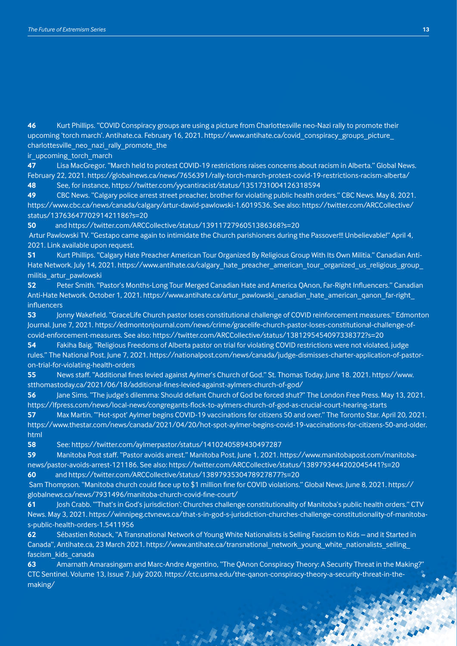**46** Kurt Phillips. "COVID Conspiracy groups are using a picture from Charlottesville neo-Nazi rally to promote their upcoming 'torch march'. Antihate.ca. February 16, 2021. https://www.antihate.ca/covid\_conspiracy\_groups\_picture\_ charlottesville\_neo\_nazi\_rally\_promote\_the

ir\_upcoming\_torch\_march

**47** Lisa MacGregor. "March held to protest COVID-19 restrictions raises concerns about racism in Alberta." Global News. February 22, 2021. https://globalnews.ca/news/7656391/rally-torch-march-protest-covid-19-restrictions-racism-alberta/ **48** See, for instance, <https://twitter.com/yycantiracist/status/1351731004126318594>

**49** CBC News. "Calgary police arrest street preacher, brother for violating public health orders." CBC News. May 8, 2021. <https://www.cbc.ca/news/canada/calgary/artur-dawid-pawlowski-1.6019536>. See also: [https://twitter.com/ARCCollective/](https://twitter.com/ARCCollective/status/1376364770291421186?s=20) [status/1376364770291421186?s=20](https://twitter.com/ARCCollective/status/1376364770291421186?s=20)

**50** and<https://twitter.com/ARCCollective/status/1391172796051386368?s=20>

 Artur Pawlowski TV. "Gestapo came again to intimidate the Church parishioners during the Passover!!! Unbelievable!" April 4, 2021. Link available upon request.

**51** Kurt Phillips. "Calgary Hate Preacher American Tour Organized By Religious Group With Its Own Militia." Canadian Anti-Hate Network. July 14, 2021. https://www.antihate.ca/calgary\_hate\_preacher\_american\_tour\_organized\_us\_religious\_group [militia\\_artur\\_pawlowski](https://www.antihate.ca/calgary_hate_preacher_american_tour_organized_us_religious_group_militia_artur_pawlowski) 

**52** Peter Smith. "Pastor's Months-Long Tour Merged Canadian Hate and America QAnon, Far-Right Influencers." Canadian Anti-Hate Network. October 1, 2021. [https://www.antihate.ca/artur\\_pawlowski\\_canadian\\_hate\\_american\\_qanon\\_far-right\\_](https://www.antihate.ca/artur_pawlowski_canadian_hate_american_qanon_far-right_influencers) [influencers](https://www.antihate.ca/artur_pawlowski_canadian_hate_american_qanon_far-right_influencers) 

**53** Jonny Wakefield. "GraceLife Church pastor loses constitutional challenge of COVID reinforcement measures." Edmonton Journal. June 7, 2021. [https://edmontonjournal.com/news/crime/gracelife-church-pastor-loses-constitutional-challenge-of](https://edmontonjournal.com/news/crime/gracelife-church-pastor-loses-constitutional-challenge-of-covid-enforcement-measures)[covid-enforcement-measures](https://edmontonjournal.com/news/crime/gracelife-church-pastor-loses-constitutional-challenge-of-covid-enforcement-measures). See also:<https://twitter.com/ARCCollective/status/1381295454097338372?s=20>

**54** Fakiha Baig. "Religious Freedoms of Alberta pastor on trial for violating COVID restrictions were not violated, judge rules." The National Post. June 7, 2021. https://nationalpost.com/news/canada/judge-dismisses-charter-application-of-pastoron-trial-for-violating-health-orders

**55** News staff. "Additional fines levied against Aylmer's Church of God." St. Thomas Today. June 18. 2021. https://www. stthomastoday.ca/2021/06/18/additional-fines-levied-against-aylmers-church-of-god/

**56** Jane Sims. "The judge's dilemma: Should defiant Church of God be forced shut?" The London Free Press. May 13, 2021. https://lfpress.com/news/local-news/congregants-flock-to-aylmers-church-of-god-as-crucial-court-hearing-starts

**57** Max Martin. "'Hot-spot' Aylmer begins COVID-19 vaccinations for citizens 50 and over." The Toronto Star. April 20, 2021. https://www.thestar.com/news/canada/2021/04/20/hot-spot-aylmer-begins-covid-19-vaccinations-for-citizens-50-and-older. html

**58** See:<https://twitter.com/aylmerpastor/status/1410240589430497287>

**59** Manitoba Post staff. "Pastor avoids arrest." Manitoba Post. June 1, 2021. [https://www.manitobapost.com/manitoba](https://www.manitobapost.com/manitoba-news/pastor-avoids-arrest-121186)[news/pastor-avoids-arrest-121186](https://www.manitobapost.com/manitoba-news/pastor-avoids-arrest-121186). See also: <https://twitter.com/ARCCollective/status/1389793444202045441?s=20> **60** and<https://twitter.com/ARCCollective/status/1389793530478927877?s=20>

 Sam Thompson. "Manitoba church could face up to \$1 million fine for COVID violations." Global News. June 8, 2021. https:// globalnews.ca/news/7931496/manitoba-church-covid-fine-court/

**61** Josh Crabb. "'That's in God's jurisdiction': Churches challenge constitutionality of Manitoba's public health orders." CTV News. May 3, 2021. https://winnipeg.ctvnews.ca/that-s-in-god-s-jurisdiction-churches-challenge-constitutionality-of-manitobas-public-health-orders-1.5411956

**62** Sébastien Roback, "A Transnational Network of Young White Nationalists is Selling Fascism to Kids – and it Started in Canada", Antihate.ca, 23 March 2021. https://www.antihate.ca/transnational\_network\_young\_white\_nationalists\_selling fascism\_kids\_canada

**63** Amarnath Amarasingam and Marc-Andre Argentino, "The QAnon Conspiracy Theory: A Security Threat in the Making?" CTC Sentinel. Volume 13, Issue 7. July 2020. https://ctc.usma.edu/the-qanon-conspiracy-theory-a-security-threat-in-themaking/

A Party